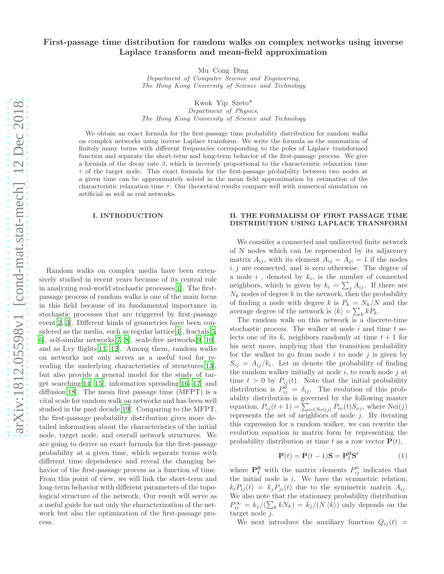# First-passage time distribution for random walks on complex networks using inverse Laplace transform and mean-field approximation

Mu Cong Ding

Department of Computer Science and Engineering, The Hong Kong University of Science and Technology

Kwok Yip Szeto\*

Department of Physics, The Hong Kong University of Science and Technology

We obtain an exact formula for the first-passage time probability distribution for random walks on complex networks using inverse Laplace transform. We write the formula as the summation of finitely many terms with different frequencies corresponding to the poles of Laplace transformed function and separate the short-term and long-term behavior of the first-passage process. We give a formula of the decay rate  $\beta$ , which is inversely proportional to the characteristic relaxation time  $\tau$  of the target node. This exact formula for the first-passage probability between two nodes at a given time can be approximately solved in the mean field approximation by estimation of the characteristic relaxation time  $\tau$ . Our theoretical results compare well with numerical simulation on artificial as well as real networks.

# I. INTRODUCTION

Random walks on complex media have been extensively studied in recent years because of its central role in analyzing real-world stochastic processes[\[1\]](#page-7-0). The firstpassage process of random walks is one of the main focus in this field because of its fundamental importance in stochastic processes that are triggered by first-passage event[\[2,](#page-7-1) [3\]](#page-7-2). Different kinds of geometries have been con-sidered as the media, such as regular lattice<sup>[\[4](#page-7-3)]</sup>, fractals<sup>[5]</sup>, [6](#page-7-5)], self-similar networks[\[7,](#page-7-6) [8](#page-7-7)], scale-free networks[\[9,](#page-7-8) [10\]](#page-7-9), and as Lvy flights[\[11](#page-7-10), [12\]](#page-7-11). Among them, random walks on networks not only serves as a useful tool for revealing the underlying characteristics of structures[\[13\]](#page-7-12), but also provide a general model for the study of target searching[\[14,](#page-7-13) [15\]](#page-7-14), information spreading[\[16,](#page-7-15) [17](#page-7-16)] and diffusion[\[18\]](#page-7-17). The mean first passage time (MFPT) is a vital scale for random walk on networks and has been well studied in the past decade[\[19\]](#page-7-18). Comparing to the MFPT, the first-passage probability distribution gives more detailed information about the characteristics of the initial node, target node, and overall network structures. We are going to derive an exact formula for the first-passage probability at a given time, which separate terms with different time dependence and reveal the changing behavior of the first-passage process as a function of time. From this point of view, we will link the short-term and long-term behavior with different parameters of the topological structure of the network. Our result will serve as a useful guide for not only the characterization of the network but also the optimization of the first-passage process.

#### II. THE FORMALISM OF FIRST PASSAGE TIME DISTRIBUTION USING LAPLACE TRANSFORM

We consider a connected and undirected finite network of N nodes which can be represented by its adjacency matrix  $A_{ij}$ , with its element  $A_{ij} = A_{ji} = 1$  if the nodes  $i, j$  are connected, and is zero otherwise. The degree of a node  $i$ , denoted by  $k_i$ , is the number of connected neighbors, which is given by  $k_i = \sum_j A_{ij}$ . If there are  $N_k$  nodes of degree k in the network, then the probability of finding a node with degree k is  $P_k = N_k/N$  and the average degree of the network is  $\langle k \rangle = \sum_k k P_k$ .

The random walk on this network is a discrete-time stochastic process. The walker at node  $i$  and time  $t$  selects one of its  $k_i$  neighbors randomly at time  $t + 1$  for his next move, implying that the transition probability for the walker to go from node  $i$  to node  $j$  is given by  $S_{ij} = A_{ij}/k_i$ . Let us denote the probability of finding the random walker initially at node  $i$ , to reach node  $j$  at time  $t > 0$  by  $P_{ij}(t)$ . Note that the initial probability distribution is  $P_{ij}^0 = \delta_{ij}$ . The evolution of this probability distribution is governed by the following master equation,  $P_{ij}(t+1) = \sum_{\nu \in \text{Nei}(j)} P_{i\nu}(t) S_{\nu j}$ , where  $\text{Nei}(j)$ represents the set of neighbors of node  $j$ . By iterating this expression for a random walker, we can rewrite the evolution equation in matrix form by representing the probability distribution at time t as a row vector  $P(t)$ ,

$$
\mathbf{P}(t) = \mathbf{P}(t-1)\mathbf{S} = \mathbf{P}_i^0 \mathbf{S}^t \tag{1}
$$

where  $\mathbf{P}_i^0$  with the matrix elements  $P_{ij}^0$  indicates that the initial node is  $i$ . We have the symmetric relation,  $k_i P_{ii}(t) = k_i P_{ii}(t)$  due to the symmetric matrix  $A_{ii}$ . We also note that the stationary probability distribution  $P_{ij}^{\infty} = k_j/(\sum_k k N_k) = k_j/(N \langle k \rangle)$  only depends on the target node j.

We next introduce the auxiliary function  $Q_{ij}(t)$  =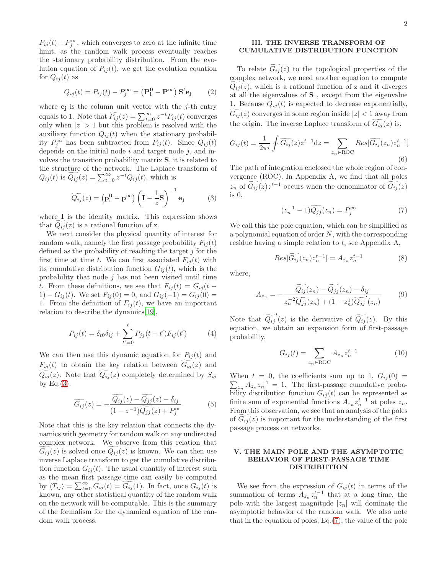$P_{ij}(t) - P_j^{\infty}$ , which converges to zero at the infinite time limit, as the random walk process eventually reaches the stationary probability distribution. From the evolution equation of  $P_{ij}(t)$ , we get the evolution equation for  $Q_{ij}(t)$  as

$$
Q_{ij}(t) = P_{ij}(t) - P_j^{\infty} = (\mathbf{P}_i^0 - \mathbf{P}^{\infty}) \mathbf{S}^t \mathbf{e}_j \qquad (2)
$$

where  $e_j$  is the column unit vector with the j-th entry equals to 1. Note that  $\widetilde{P_{ij}}(z) = \sum_{t=0}^{\infty} z^{-t} P_{ij}(t)$  converges only when  $|z| > 1$  but this problem is resolved with the auxiliary function  $Q_{ij}(t)$  when the stationary probability  $P_j^{\infty}$  has been subtracted from  $P_{ij}(t)$ . Since  $Q_{ij}(t)$ depends on the initial node  $i$  and target node  $j$ , and involves the transition probability matrix S, it is related to the structure of the network. The Laplace transform of  $Q_{ij}(t)$  is  $\widetilde{Q_{ij}}(z) = \sum_{t=0}^{\infty} z^{-t} Q_{ij}(t)$ , which is

<span id="page-1-0"></span>
$$
\widetilde{Q_{ij}}(z) = (\mathbf{p_i^0} - \mathbf{p^{\infty}}) \left(\mathbf{I} - \frac{1}{z}\mathbf{S}\right)^{-1} \mathbf{e_j}
$$
 (3)

where **I** is the identity matrix. This expression shows that  $Q_{ij}(z)$  is a rational function of z.

We next consider the physical quantity of interest for random walk, namely the first passage probability  $F_{ij}(t)$ defined as the probability of reaching the target  $j$  for the first time at time t. We can first associated  $F_{ij}(t)$  with its cumulative distribution function  $G_{ij}(t)$ , which is the probability that node  $j$  has not been visited until time t. From these definitions, we see that  $F_{ij}(t) = G_{ij}(t -$ 1) –  $G_{ij}(t)$ . We set  $F_{ij}(0) = 0$ , and  $G_{ij}(-1) = G_{ij}(0) = 0$ 1. From the definition of  $F_{ii}(t)$ , we have an important relation to describe the dynamics[\[19\]](#page-7-18),

$$
P_{ij}(t) = \delta_{t0}\delta_{ij} + \sum_{t'=0}^{t} P_{jj}(t-t')F_{ij}(t')
$$
 (4)

We can then use this dynamic equation for  $P_{ij}(t)$  and  $F_{ij}(t)$  to obtain the key relation between  $G_{ij}(z)$  and  $Q_{ij}(z)$ . Note that  $Q_{ij}(z)$  completely determined by  $S_{ij}$ by Eq. $(3)$ .

<span id="page-1-4"></span>
$$
\widetilde{G_{ij}}(z) = -\frac{Q_{ij}(z) - Q_{jj}(z) - \delta_{ij}}{(1 - z^{-1})\widehat{Q_{jj}}(z) + P_j^{\infty}} \tag{5}
$$

Note that this is the key relation that connects the dynamics with geometry for random walk on any undirected complex network. We observe from this relation that  $G_{ij}(z)$  is solved once  $Q_{ij}(z)$  is known. We can then use inverse Laplace transform to get the cumulative distribution function  $G_{ij}(t)$ . The usual quantity of interest such as the mean first passage time can easily be computed by  $\langle T_{ij} \rangle = \sum_{t=0}^{\infty} G_{ij}(t) = \widetilde{G_{ij}}(1)$ . In fact, once  $G_{ij}(t)$  is known, any other statistical quantity of the random walk on the network will be computable. This is the summary of the formalism for the dynamical equation of the random walk process.

# III. THE INVERSE TRANSFORM OF CUMULATIVE DISTRIBUTION FUNCTION

To relate  $G_{ij}(z)$  to the topological properties of the complex network, we need another equation to compute  $Q_{ij}(z)$ , which is a rational function of z and it diverges at all the eigenvalues of S , except from the eigenvalue 1. Because  $Q_{ij}(t)$  is expected to decrease exponentially,  $G_{ij}(z)$  converges in some region inside  $|z| < 1$  away from the origin. The inverse Laplace transform of  $G_{ij}(z)$  is,

$$
G_{ij}(t) = \frac{1}{2\pi i} \oint \widetilde{G_{ij}}(z) z^{t-1} dz = \sum_{z_n \in \text{ROC}} Res[\widetilde{G_{ij}}(z_n) z_n^{t-1}]
$$
\n(6)

The path of integration enclosed the whole region of convergence (ROC). In Appendix A, we find that all poles  $z_n$  of  $\widetilde{G_{ij}}(z)z^{t-1}$  occurs when the denominator of  $\widetilde{G_{ij}}(z)$ is 0,

<span id="page-1-1"></span>
$$
(z_n^{-1} - 1)\widetilde{Q_{jj}}(z_n) = P_j^{\infty} \tag{7}
$$

We call this the pole equation, which can be simplified as a polynomial equation of order  $N$ , with the corresponding residue having a simple relation to  $t$ , see Appendix A,

<span id="page-1-5"></span>
$$
Res[\widetilde{G_{ij}}(z_n)z_n^{t-1}] = A_{z_n}z_n^{t-1}
$$
\n(8)

where,

<span id="page-1-2"></span>
$$
A_{z_n} = -\frac{\widetilde{Q_{ij}}(z_n) - \widetilde{Q_{jj}}(z_n) - \delta_{ij}}{z_n^{-2} \widetilde{Q_{jj}}(z_n) + (1 - z_n^1) \widetilde{Q_{jj}}'(z_n)}
$$
(9)

Note that  $\widetilde{Q_{ij}}(z)$  is the derivative of  $\widetilde{Q_{ij}}(z)$ . By this equation, we obtain an expansion form of first-passage probability,

<span id="page-1-3"></span>
$$
G_{ij}(t) = \sum_{z_n \in \text{ROC}} A_{z_n} z_n^{t-1}
$$
 (10)

When  $t = 0$ , the coefficients sum up to 1,  $G_{ij}(0) =$  $\sum_{z_n} A_{z_n} z_n^{-1} = 1$ . The first-passage cumulative probability distribution function  $G_{ij}(t)$  can be represented as finite sum of exponential functions  $A_{z_n} z_n^{t-1}$  at poles  $z_n$ . From this observation, we see that an analysis of the poles of  $G_{ij}(z)$  is important for the understanding of the first passage process on networks.

# V. THE MAIN POLE AND THE ASYMPTOTIC BEHAVIOR OF FIRST-PASSAGE TIME DISTRIBUTION

We see from the expression of  $G_{ij}(t)$  in terms of the summation of terms  $A_{z_n} z_n^{t-1}$  that at a long time, the pole with the largest magnitude  $|z_n|$  will dominate the asymptotic behavior of the random walk. We also note that in the equation of poles, Eq.[\(7\)](#page-1-1), the value of the pole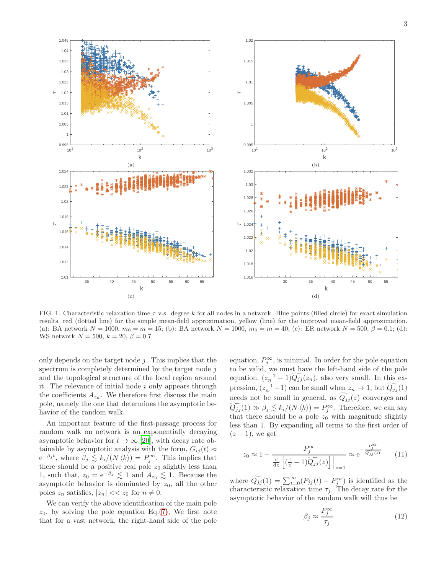

<span id="page-2-1"></span>FIG. 1. Characteristic relaxation time  $\tau$  v.s. degree k for all nodes in a network. Blue points (filled circle) for exact simulation results, red (dotted line) for the simple mean-field approximation, yellow (line) for the improved mean-field approximation. (a): BA network  $N = 1000$ ,  $m_0 = m = 15$ ; (b): BA network  $N = 1000$ ,  $m_0 = m = 40$ ; (c): ER network  $N = 500$ ,  $\beta = 0.1$ ; (d): WS network  $N = 500, k = 20, \beta = 0.7$ 

only depends on the target node  $i$ . This implies that the spectrum is completely determined by the target node j and the topological structure of the local region around it. The relevance of initial node  $i$  only appears through the coefficients  $A_{z_n}$ . We therefore first discuss the main pole, namely the one that determines the asymptotic behavior of the random walk.

An important feature of the first-passage process for random walk on network is an exponentially decaying asymptotic behavior for  $t \to \infty$  [\[20\]](#page-7-19), with decay rate obtainable by asymptotic analysis with the form,  $G_{ij}(t) \approx$  $e^{-\beta_j t}$ , where  $\beta_j \leq k_i/(N \langle k \rangle) = P_j^{\infty}$ . This implies that there should be a positive real pole  $z_0$  slightly less than 1, such that,  $z_0 = e^{-\beta_j} \leq 1$  and  $A_{z_0} \leq 1$ . Because the asymptotic behavior is dominated by  $z_0$ , all the other poles  $z_n$  satisfies,  $|z_n| \ll z_0$  for  $n \neq 0$ .

We can verify the above identification of the main pole  $z_0$ , by solving the pole equation Eq.[\(7\)](#page-1-1), We first note that for a vast network, the right-hand side of the pole

equation,  $P_j^{\infty}$ , is minimal. In order for the pole equation to be valid, we must have the left-hand side of the pole equation,  $(z_n^{-1} - 1) \widetilde{Q_{jj}}(z_n)$ , also very small. In this expression,  $(z_n^{-1} - 1)$  can be small when  $z_n \to 1$ , but  $\widetilde{Q_{jj}}(1)$ needs not be small in general, as  $Q_{jj}(z)$  converges and  $\widetilde{Q_{jj}}(1) \gg \beta_j \lesssim k_i/(N \langle k \rangle) = P_j^{\infty}$ . Therefore, we can say that there should be a pole  $z_0$  with magnitude slightly less than 1. By expanding all terms to the first order of  $(z - 1)$ , we get

$$
z_0 \approx 1 + \frac{P_j^{\infty}}{\frac{d}{dz} \left[ \left( \frac{1}{z} - 1 \right) \widetilde{Q_{jj}}(z) \right]} \approx e^{-\frac{P_j^{\infty}}{\widetilde{Q_{jj}}^{(1)}}}
$$
 (11)

where  $\widetilde{Q_{jj}}(1) = \sum_{t=0}^{\infty} (P_{jj}(t) - P_j^{\infty})$  is identified as the characteristic relaxation time  $\tau_j$ . The decay rate for the asymptotic behavior of the random walk will thus be

<span id="page-2-0"></span>
$$
\beta_j \approx \frac{P_j^{\infty}}{\tau_j} \tag{12}
$$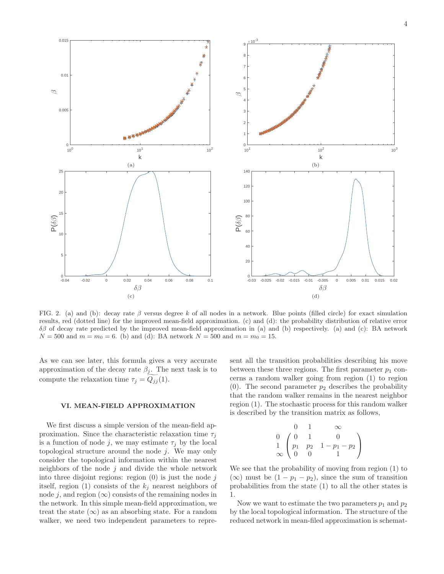

<span id="page-3-0"></span>FIG. 2. (a) and (b): decay rate  $\beta$  versus degree k of all nodes in a network. Blue points (filled circle) for exact simulation results, red (dotted line) for the improved mean-field approximation. (c) and (d): the probability distribution of relative error δβ of decay rate predicted by the improved mean-field approximation in (a) and (b) respectively. (a) and (c): BA network  $N = 500$  and  $m = m_0 = 6$ . (b) and (d): BA network  $N = 500$  and  $m = m_0 = 15$ .

As we can see later, this formula gives a very accurate approximation of the decay rate  $\beta_j$ . The next task is to compute the relaxation time  $\tau_j = Q_{jj}(1)$ .

#### VI. MEAN-FIELD APPROXIMATION

We first discuss a simple version of the mean-field approximation. Since the characteristic relaxation time  $\tau_i$ is a function of node j, we may estimate  $\tau_j$  by the local topological structure around the node  $j$ . We may only consider the topological information within the nearest neighbors of the node  $j$  and divide the whole network into three disjoint regions: region  $(0)$  is just the node j itself, region (1) consists of the  $k_j$  nearest neighbors of node j, and region  $(\infty)$  consists of the remaining nodes in the network. In this simple mean-field approximation, we treat the state  $(\infty)$  as an absorbing state. For a random walker, we need two independent parameters to repre-

sent all the transition probabilities describing his move between these three regions. The first parameter  $p_1$  concerns a random walker going from region (1) to region (0). The second parameter  $p_2$  describes the probability that the random walker remains in the nearest neighbor region (1). The stochastic process for this random walker is described by the transition matrix as follows,

$$
\begin{array}{ccccc}\n & 0 & 1 & \infty \\
0 & \begin{pmatrix} 0 & 1 & 0 \\
p_1 & p_2 & 1 - p_1 - p_2 \\
0 & 0 & 1\n\end{pmatrix}\n\end{array}
$$

We see that the probability of moving from region (1) to (∞) must be  $(1 - p_1 - p_2)$ , since the sum of transition probabilities from the state (1) to all the other states is 1.

Now we want to estimate the two parameters  $p_1$  and  $p_2$ by the local topological information. The structure of the reduced network in mean-filed approximation is schemat-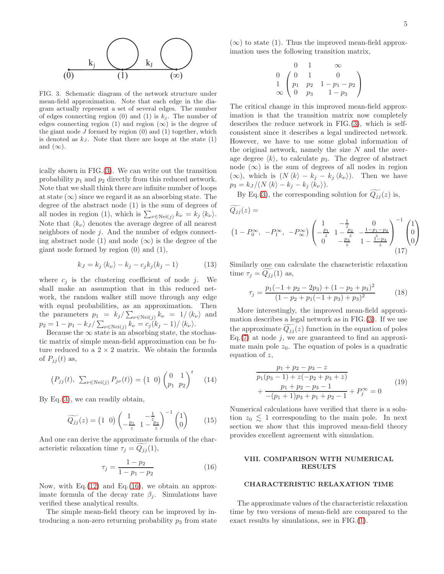5



<span id="page-4-0"></span>FIG. 3. Schematic diagram of the network structure under mean-field approximation. Note that each edge in the diagram actually represent a set of several edges. The number of edges connecting region (0) and (1) is  $k_j$ . The number of edges connecting region (1) and region  $(\infty)$  is the degree of the giant node  $J$  formed by region  $(0)$  and  $(1)$  together, which is denoted as  $k_j$ . Note that there are loops at the state  $(1)$ and  $(\infty)$ .

ically shown in FIG.[\(3\)](#page-4-0). We can write out the transition probability  $p_1$  and  $p_2$  directly from this reduced network. Note that we shall think there are infinite number of loops at state  $(\infty)$  since we regard it as an absorbing state. The degree of the abstract node (1) is the sum of degrees of all nodes in region (1), which is  $\sum_{\nu \in \text{Nei}(j)} k_{\nu} = k_{j} \langle k_{\nu} \rangle$ . Note that  $\langle k_{\nu} \rangle$  denotes the average degree of all nearest neighbors of node  $j$ . And the number of edges connecting abstract node (1) and node  $(\infty)$  is the degree of the giant node formed by region (0) and (1),

$$
k_J = k_j \langle k_\nu \rangle - k_j - c_j k_j (k_j - 1) \tag{13}
$$

where  $c_j$  is the clustering coefficient of node j. We shall make an assumption that in this reduced network, the random walker still move through any edge with equal probabilities, as an approximation. Then the parameters  $p_1 = k_j / \sum_{\nu \in Nei(j)} k_{\nu} = 1 / \langle k_{\nu} \rangle$  and  $p_2 = 1 - p_1 - k_J / \sum_{\nu \in Ne(j)} k_{\nu} = c_j (k_j - 1) / \langle k_{\nu} \rangle.$ 

Because the  $\infty$  state is an absorbing state, the stochastic matrix of simple mean-field approximation can be future reduced to a  $2 \times 2$  matrix. We obtain the formula of  $P_{ij}(t)$  as,

$$
(P_{jj}(t), \ \sum_{\nu \in \text{Nei}(j)} P_{j\nu}(t)) = (1 \ 0) \begin{pmatrix} 0 & 1 \\ p_1 & p_2 \end{pmatrix}^t \tag{14}
$$

By Eq.[\(3\)](#page-1-0), we can readily obtain,

$$
\widetilde{Q_{jj}}(z) = \begin{pmatrix} 1 & 0 \end{pmatrix} \begin{pmatrix} 1 & -\frac{1}{z} \\ -\frac{p_1}{z} & 1 - \frac{p_2}{z} \end{pmatrix}^{-1} \begin{pmatrix} 1 \\ 0 \end{pmatrix} \tag{15}
$$

And one can derive the approximate formula of the characteristic relaxation time  $\tau_j = Q_{jj}(1)$ ,

<span id="page-4-1"></span>
$$
\tau_j = \frac{1 - p_2}{1 - p_1 - p_2} \tag{16}
$$

Now, with Eq. $(12)$  and Eq. $(16)$ , we obtain an approximate formula of the decay rate  $\beta_i$ . Simulations have verified these analytical results.

The simple mean-field theory can be improved by introducing a non-zero returning probability  $p_3$  from state

 $(\infty)$  to state (1). Thus the improved mean-field approximation uses the following transition matrix,

$$
\begin{array}{ccc}\n0 & 1 & \infty \\
0 & \begin{pmatrix} 0 & 1 & 0 \\
p_1 & p_2 & 1 - p_1 - p_2 \\
0 & p_3 & 1 - p_3 \end{pmatrix}\n\end{array}
$$

The critical change in this improved mean-field approximation is that the transition matrix now completely describes the reduce network in FIG.[\(3\)](#page-4-0), which is selfconsistent since it describes a legal undirected network. However, we have to use some global information of the original network, namely the size  $N$  and the average degree  $\langle k \rangle$ , to calculate  $p_3$ . The degree of abstract node  $(\infty)$  is the sum of degrees of all nodes in region  $(\infty)$ , which is  $(N \langle k \rangle - k_j - k_j \langle k_\nu \rangle)$ . Then we have  $p_3 = k_J / (N \langle k \rangle - k_j - k_j \langle k_\nu \rangle).$ 

By Eq.[\(3\)](#page-1-0), the corresponding solution for  $\widetilde{Q_{jj}}(z)$  is,

$$
\widetilde{Q_{jj}}(z) =
$$
\n
$$
(1 - P_0^{\infty}, -P_1^{\infty}, -P_{\infty}^{\infty}) \begin{pmatrix} 1 & -\frac{1}{z} & 0 \\ -\frac{p_1}{z} & 1 - \frac{p_2}{z} & -\frac{1 - p_1 - p_2}{z} \\ 0 & -\frac{p_3}{z} & 1 - \frac{\tilde{z} - p_3}{z} \end{pmatrix}^{-1} \begin{pmatrix} 1 \\ 0 \\ 0 \end{pmatrix}
$$
\n
$$
(17)
$$

Similarly one can calculate the characteristic relaxation time  $\tau_j = Q_{jj}(1)$  as,

$$
\tau_j = \frac{p_1(-1 + p_2 - 2p_3) + (1 - p_2 + p_3)^2}{(1 - p_2 + p_1(-1 + p_3) + p_3)^2} \tag{18}
$$

More interestingly, the improved mean-field approximation describes a legal network as in FIG.[\(3\)](#page-4-0). If we use the approximate  $Q_{jj}(z)$  function in the equation of poles Eq.[\(7\)](#page-1-1) at node  $j$ , we are guaranteed to find an approximate main pole  $z_0$ . The equation of poles is a quadratic equation of  $z$ ,

$$
\frac{p_1 + p_2 - p_3 - z}{p_1(p_3 - 1) + z(-p_2 + p_3 + z)} + \frac{p_1 + p_2 - p_3 - 1}{-(p_1 + 1)p_3 + p_1 + p_2 - 1} + P_j^{\infty} = 0
$$
\n(19)

Numerical calculations have verified that there is a solution  $z_0 \lesssim 1$  corresponding to the main pole. In next section we show that this improved mean-field theory provides excellent agreement with simulation.

# VIII. COMPARISON WITH NUMERICAL RESULTS

# CHARACTERISTIC RELAXATION TIME

The approximate values of the characteristic relaxation time by two versions of mean-field are compared to the exact results by simulations, see in FIG.[\(1\)](#page-2-1).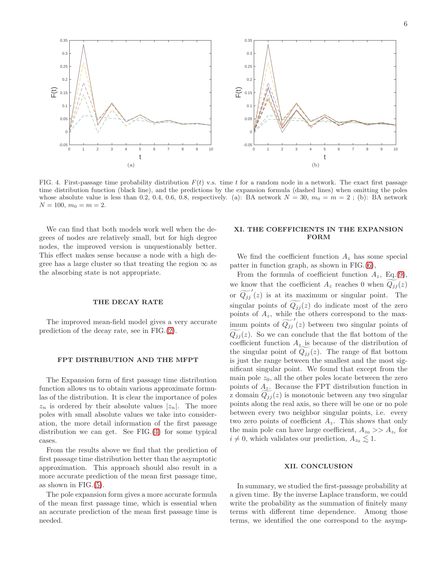

<span id="page-5-0"></span>FIG. 4. First-passage time probability distribution  $F(t)$  v.s. time t for a random node in a network. The exact first passage time distribution function (black line), and the predictions by the expansion formula (dashed lines) when omitting the poles whose absolute value is less than 0.2, 0.4, 0.6, 0.8, respectively. (a): BA network  $N = 30$ ,  $m_0 = m = 2$ ; (b): BA network  $N = 100, m_0 = m = 2.$ 

We can find that both models work well when the degrees of nodes are relatively small, but for high degree nodes, the improved version is unquestionably better. This effect makes sense because a node with a high degree has a large cluster so that treating the region  $\infty$  as the absorbing state is not appropriate.

#### THE DECAY RATE

The improved mean-field model gives a very accurate prediction of the decay rate, see in FIG.[\(2\)](#page-3-0).

#### FPT DISTRIBUTION AND THE MFPT

The Expansion form of first passage time distribution function allows us to obtain various approximate formulas of the distribution. It is clear the importance of poles  $z_n$  is ordered by their absolute values  $|z_n|$ . The more poles with small absolute values we take into consideration, the more detail information of the first passage distribution we can get. See FIG.[\(4\)](#page-5-0) for some typical cases.

From the results above we find that the prediction of first passage time distribution better than the asymptotic approximation. This approach should also result in a more accurate prediction of the mean first passage time, as shown in FIG.[\(5\)](#page-6-0).

The pole expansion form gives a more accurate formula of the mean first passage time, which is essential when an accurate prediction of the mean first passage time is needed.

## XI. THE COEFFICIENTS IN THE EXPANSION FORM

We find the coefficient function  $A_z$  has some special patter in function graph, as shown in FIG.[\(6\)](#page-7-20),

From the formula of coefficient function  $A_z$ , Eq.[\(9\)](#page-1-2), we know that the coefficient  $A_z$  reaches 0 when  $Q_{jj}(z)$ or  $\widetilde{Q_{jj}}'(z)$  is at its maximum or singular point. The singular points of  $Q_{ij}(z)$  do indicate most of the zero points of  $A_z$ , while the others correspond to the maximum points of  $\widetilde{Q_{jj}}'(z)$  between two singular points of  $Q_{jj}(z)$ . So we can conclude that the flat bottom of the coefficient function  $A_z$  is because of the distribution of the singular point of  $Q_{jj}(z)$ . The range of flat bottom is just the range between the smallest and the most significant singular point. We found that except from the main pole  $z_0$ , all the other poles locate between the zero points of  $A_z$ . Because the FPT distribution function in z domain  $Q_{ij}(z)$  is monotonic between any two singular points along the real axis, so there will be one or no pole between every two neighbor singular points, i.e. every two zero points of coefficient  $A_z$ . This shows that only the main pole can have large coefficient,  $A_{z_0} >> A_{z_i}$  for  $i \neq 0$ , which validates our prediction,  $A_{z_0} \lesssim 1$ .

#### XII. CONCLUSION

In summary, we studied the first-passage probability at a given time. By the inverse Laplace transform, we could write the probability as the summation of finitely many terms with different time dependence. Among those terms, we identified the one correspond to the asymp-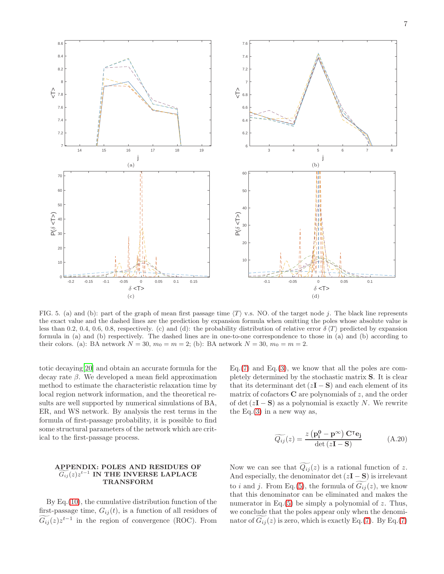

<span id="page-6-0"></span>FIG. 5. (a) and (b): part of the graph of mean first passage time  $\langle T \rangle$  v.s. NO. of the target node j. The black line represents the exact value and the dashed lines are the prediction by expansion formula when omitting the poles whose absolute value is less than 0.2, 0.4, 0.6, 0.8, respectively. (c) and (d): the probability distribution of relative error  $\delta \langle T \rangle$  predicted by expansion formula in (a) and (b) respectively. The dashed lines are in one-to-one correspondence to those in (a) and (b) according to their colors. (a): BA network  $N = 30$ ,  $m_0 = m = 2$ ; (b): BA network  $N = 30$ ,  $m_0 = m = 2$ .

totic decaying[\[20](#page-7-19)] and obtain an accurate formula for the decay rate  $\beta$ . We developed a mean field approximation method to estimate the characteristic relaxation time by local region network information, and the theoretical results are well supported by numerical simulations of BA, ER, and WS network. By analysis the rest terms in the formula of first-passage probability, it is possible to find some structural parameters of the network which are critical to the first-passage process.

#### APPENDIX: POLES AND RESIDUES OF  $G_{ij}(z)z^{t-1}$  IN THE INVERSE LAPLACE TRANSFORM

By Eq.[\(10\)](#page-1-3), the cumulative distribution function of the first-passage time,  $G_{ij}(t)$ , is a function of all residues of  $\widetilde{G_{ij}}(z)z^{t-1}$  in the region of convergence (ROC). From Eq.  $(7)$  and Eq.  $(3)$ , we know that all the poles are completely determined by the stochastic matrix S. It is clear that its determinant det  $(zI - S)$  and each element of its matrix of cofactors  $C$  are polynomials of  $z$ , and the order of det  $(zI - S)$  as a polynomial is exactly N. We rewrite the Eq.  $(3)$  in a new way as,

<span id="page-6-1"></span>
$$
\widetilde{Q_{ij}}(z) = \frac{z(\mathbf{p_i^0} - \mathbf{p^\infty}) \mathbf{C}^\mathsf{T} \mathbf{e_j}}{\det(z\mathbf{I} - \mathbf{S})}
$$
(A.20)

Now we can see that  $Q_{ij}(z)$  is a rational function of z. And especially, the denominator det  $(zI - S)$  is irrelevant to i and j. From Eq.[\(5\)](#page-1-4), the formula of  $G_{ij}(z)$ , we know that this denominator can be eliminated and makes the numerator in Eq. $(5)$  be simply a polynomial of z. Thus, we conclude that the poles appear only when the denominator of  $G_{ij}(z)$  is zero, which is exactly Eq.[\(7\)](#page-1-1). By Eq.(7)